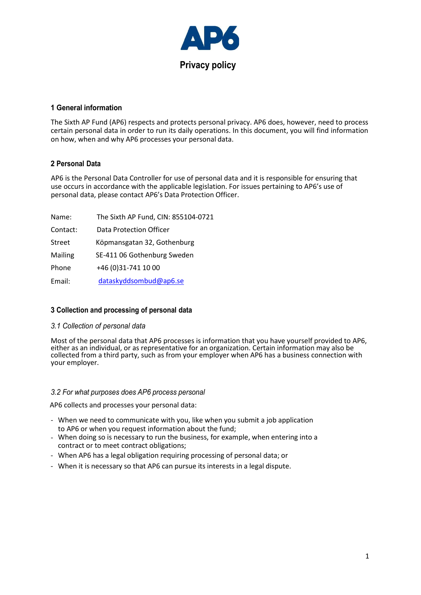

### **1 General information**

The Sixth AP Fund (AP6) respects and protects personal privacy. AP6 does, however, need to process certain personal data in order to run its daily operations. In this document, you will find information on how, when and why AP6 processes your personal data.

# **2 Personal Data**

AP6 is the Personal Data Controller for use of personal data and it is responsible for ensuring that use occurs in accordance with the applicable legislation. For issues pertaining to AP6's use of personal data, please contact AP6's Data Protection Officer.

| Name:    | The Sixth AP Fund, CIN: 855104-0721 |
|----------|-------------------------------------|
| Contact: | Data Protection Officer             |
| Street   | Köpmansgatan 32, Gothenburg         |
| Mailing  | SE-411 06 Gothenburg Sweden         |
| Phone    | +46 (0)31-741 10 00                 |
| Email:   | dataskyddsombud@ap6.se              |

# **3 Collection and processing of personal data**

# *3.1 Collection of personal data*

Most of the personal data that AP6 processes is information that you have yourself provided to AP6, either as an individual, or as representative for an organization. Certain information may also be collected from a third party, such as from your employer when AP6 has a business connection with your employer.

#### *3.2 For what purposes does AP6 process personal*

AP6 collects and processes your personal data:

- When we need to communicate with you, like when you submit a job application to AP6 or when you request information about the fund;
- When doing so is necessary to run the business, for example, when entering into a contract or to meet contract obligations;
- When AP6 has a legal obligation requiring processing of personal data; or
- When it is necessary so that AP6 can pursue its interests in a legal dispute.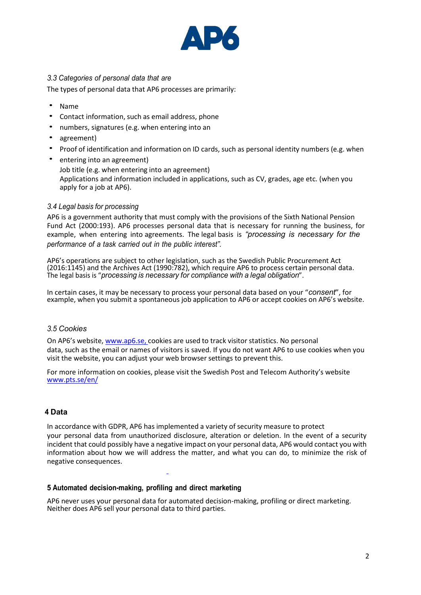

# *3.3 Categories of personal data that are*

The types of personal data that AP6 processes are primarily:

- Name
- Contact information, such as email address, phone
- numbers, signatures (e.g. when entering into an
- agreement)
- Proof of identification and information on ID cards, such as personal identity numbers (e.g. when
- entering into an agreement) Job title (e.g. when entering into an agreement) Applications and information included in applications, such as CV, grades, age etc. (when you apply for a job at AP6).

#### *3.4 Legal basis for processing*

AP6 is a government authority that must comply with the provisions of the Sixth National Pension Fund Act (2000:193). AP6 processes personal data that is necessary for running the business, for example, when entering into agreements. The legal basis is *"processing is necessary for the performance of a task carried out in the public interest".*

AP6's operations are subject to other legislation, such as the Swedish Public Procurement Act (2016:1145) and the Archives Act (1990:782), which require AP6 to process certain personal data. The legal basis is "*processing is necessary for compliance with a legal obligation*".

In certain cases, it may be necessary to process your personal data based on your "*consent*", for example, when you submit a spontaneous job application to AP6 or accept cookies on AP6's website.

### *3.5 Cookies*

On AP6's website, [www.ap6.se,](http://www.ap6.se,/) cookies are used to track visitor statistics. No personal data, such as the email or names of visitors is saved. If you do not want AP6 to use cookies when you visit the website, you can adjust your web browser settings to prevent this.

For more information on cookies, please visit the Swedish Post and Telecom Authority's website [www.pts.se/en/](http://www.pts.se/en/)

#### **4 Data**

In accordance with GDPR, AP6 has implemented a variety of security measure to protect your personal data from unauthorized disclosure, alteration or deletion. In the event of a security incident that could possibly have a negative impact on your personal data, AP6 would contact you with information about how we will address the matter, and what you can do, to minimize the risk of negative consequences.

#### **5 Automated decision-making, profiling and direct marketing**

AP6 never uses your personal data for automated decision-making, profiling or direct marketing. Neither does AP6 sell your personal data to third parties.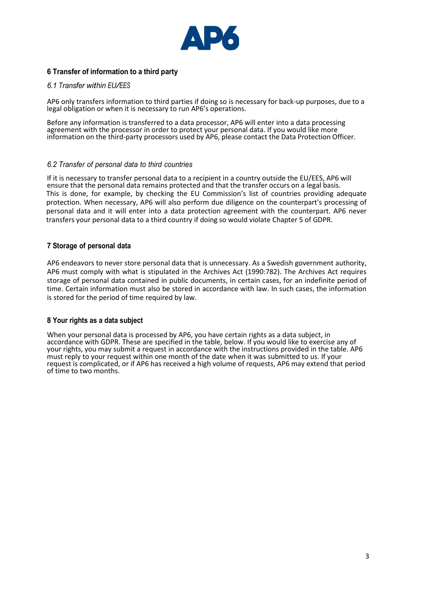

### **6 Transfer of information to a third party**

#### *6.1 Transfer within EU/EES*

AP6 only transfers information to third parties if doing so is necessary for back-up purposes, due to a legal obligation or when it is necessary to run AP6's operations.

Before any information is transferred to a data processor, AP6 will enter into a data processing agreement with the processor in order to protect your personal data. If you would like more information on the third-party processors used by AP6, please contact the Data Protection Officer.

#### *6.2 Transfer of personal data to third countries*

If it is necessary to transfer personal data to a recipient in a country outside the EU/EES, AP6 will ensure that the personal data remains protected and that the transfer occurs on a legal basis. This is done, for example, by checking the EU Commission's list of countries providing adequate protection. When necessary, AP6 will also perform due diligence on the counterpart's processing of personal data and it will enter into a data protection agreement with the counterpart. AP6 never transfers your personal data to a third country if doing so would violate Chapter 5 of GDPR.

#### **7 Storage of personal data**

AP6 endeavors to never store personal data that is unnecessary. As a Swedish government authority, AP6 must comply with what is stipulated in the Archives Act (1990:782). The Archives Act requires storage of personal data contained in public documents, in certain cases, for an indefinite period of time. Certain information must also be stored in accordance with law. In such cases, the information is stored for the period of time required by law.

#### **8 Your rights as a data subject**

When your personal data is processed by AP6, you have certain rights as a data subject, in accordance with GDPR. These are specified in the table, below. If you would like to exercise any of your rights, you may submit a request in accordance with the instructions provided in the table. AP6 must reply to your request within one month of the date when it was submitted to us. If your request is complicated, or if AP6 has received a high volume of requests, AP6 may extend that period of time to two months.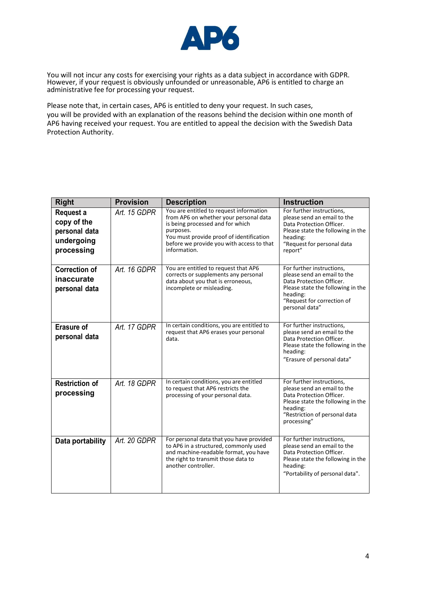

You will not incur any costs for exercising your rights as a data subject in accordance with GDPR. However, if your request is obviously unfounded or unreasonable, AP6 is entitled to charge an administrative fee for processing your request.

Please note that, in certain cases, AP6 is entitled to deny your request. In such cases, you will be provided with an explanation of the reasons behind the decision within one month of AP6 having received your request. You are entitled to appeal the decision with the Swedish Data Protection Authority.

| <b>Right</b>                                                          | <b>Provision</b> | <b>Description</b>                                                                                                                                                                                                                          | <b>Instruction</b>                                                                                                                                                                    |
|-----------------------------------------------------------------------|------------------|---------------------------------------------------------------------------------------------------------------------------------------------------------------------------------------------------------------------------------------------|---------------------------------------------------------------------------------------------------------------------------------------------------------------------------------------|
| Request a<br>copy of the<br>personal data<br>undergoing<br>processing | Art. 15 GDPR     | You are entitled to request information<br>from AP6 on whether your personal data<br>is being processed and for which<br>purposes.<br>You must provide proof of identification<br>before we provide you with access to that<br>information. | For further instructions,<br>please send an email to the<br>Data Protection Officer.<br>Please state the following in the<br>heading:<br>"Request for personal data<br>report"        |
| <b>Correction of</b><br>inaccurate<br>personal data                   | Art. 16 GDPR     | You are entitled to request that AP6<br>corrects or supplements any personal<br>data about you that is erroneous,<br>incomplete or misleading.                                                                                              | For further instructions,<br>please send an email to the<br>Data Protection Officer.<br>Please state the following in the<br>heading:<br>"Request for correction of<br>personal data" |
| <b>Erasure of</b><br>personal data                                    | Art. 17 GDPR     | In certain conditions, you are entitled to<br>request that AP6 erases your personal<br>data.                                                                                                                                                | For further instructions,<br>please send an email to the<br>Data Protection Officer.<br>Please state the following in the<br>heading:<br>"Erasure of personal data"                   |
| <b>Restriction of</b><br>processing                                   | Art. 18 GDPR     | In certain conditions, you are entitled<br>to request that AP6 restricts the<br>processing of your personal data.                                                                                                                           | For further instructions,<br>please send an email to the<br>Data Protection Officer.<br>Please state the following in the<br>heading:<br>"Restriction of personal data<br>processing" |
| Data portability                                                      | Art. 20 GDPR     | For personal data that you have provided<br>to AP6 in a structured, commonly used<br>and machine-readable format, you have<br>the right to transmit those data to<br>another controller.                                                    | For further instructions,<br>please send an email to the<br>Data Protection Officer.<br>Please state the following in the<br>heading:<br>"Portability of personal data".              |